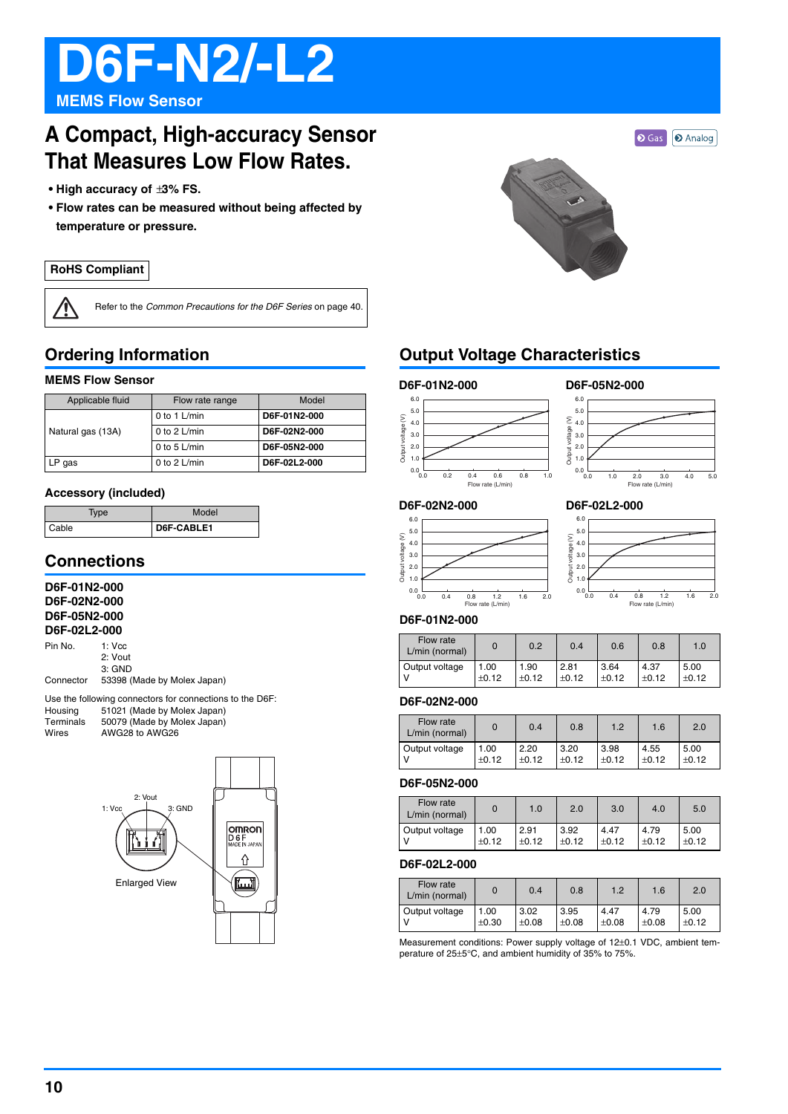# **D6F-N2/-L2**

**MEMS Flow Sensor**

## **A Compact, High-accuracy Sensor That Measures Low Flow Rates.**

- **High accuracy of** ±**3% FS.**
- **Flow rates can be measured without being affected by temperature or pressure.**

#### **RoHS Compliant**

 $\sqrt{2}$ 

Refer to the *Common Precautions for the D6F Series* on page 40.

## **Ordering Information**

#### **MEMS Flow Sensor**

| Applicable fluid  | Flow rate range | Model        |
|-------------------|-----------------|--------------|
|                   | 0 to 1 $L/min$  | D6F-01N2-000 |
| Natural gas (13A) | 0 to 2 $L/min$  | D6F-02N2-000 |
|                   | 0 to 5 $L/min$  | D6F-05N2-000 |
| .P qas            | 0 to 2 $L/min$  | D6F-02L2-000 |

#### **Accessory (included)**

| Type  | Model      |
|-------|------------|
| Cable | D6F-CABLE1 |

### **Connections**

#### **D6F-01N2-000 D6F-02N2-000 D6F-05N2-000 D6F-02L2-000**

| Pin No.   | $1:$ Vcc                    |
|-----------|-----------------------------|
|           | 2: Vout                     |
|           | $3:$ GND                    |
| Connector | 53398 (Made by Molex Japan) |

Use the following connectors for connections to the D6F:<br>Housing 51021 (Made by Molex Japan) Housing 51021 (Made by Molex Japan) Terminals 50079 (Made by Molex Japan)<br>Wires AWG28 to AWG26 Wires AWG28 to AWG26





## **Output Voltage Characteristics**

#### **D6F-01N2-000 D6F-05N2-000**



#### **D6F-02N2-000**







#### **D6F-01N2-000**

| Flow rate<br>L/min (normal) |         | 0.2     | 0.4     | 0.6     | 0.8     | 1.0   |
|-----------------------------|---------|---------|---------|---------|---------|-------|
| Output voltage              | 1.00    | 1.90    | 2.81    | 3.64    | 4.37    | 5.00  |
|                             | $+0.12$ | $+0.12$ | $+0.12$ | $+0.12$ | $+0.12$ | ±0.12 |

#### **D6F-02N2-000**

| Flow rate<br>L/min (normal) |         | 0.4     | 0.8     | 1.2     | 1.6     | 2.0     |
|-----------------------------|---------|---------|---------|---------|---------|---------|
| Output voltage              | 1.00    | 2.20    | 3.20    | 3.98    | 4.55    | 5.00    |
|                             | $+0.12$ | $+0.12$ | $+0.12$ | $+0.12$ | $+0.12$ | $+0.12$ |

#### **D6F-05N2-000**

| Flow rate<br>L/min (normal) |         | 1.0     | 2.0     | 3.0     | 4.0     | 5.0     |
|-----------------------------|---------|---------|---------|---------|---------|---------|
| Output voltage              | 1.00    | 2.91    | 3.92    | 4.47    | 4.79    | 5.00    |
|                             | $+0.12$ | $+0.12$ | $+0.12$ | $+0.12$ | $+0.12$ | $+0.12$ |

#### **D6F-02L2-000**

| Flow rate<br>L/min (normal) |         | 0.4     | 0.8     | 1.2     | 1.6     | 2.0     |
|-----------------------------|---------|---------|---------|---------|---------|---------|
| Output voltage              | 1.00    | 3.02    | 3.95    | 4.47    | 4.79    | 5.00    |
|                             | $+0.30$ | $+0.08$ | $+0.08$ | $+0.08$ | $+0.08$ | $+0.12$ |

Measurement conditions: Power supply voltage of 12±0.1 VDC, ambient temperature of 25±5°C, and ambient humidity of 35% to 75%.

**O** Gas **O** Analog